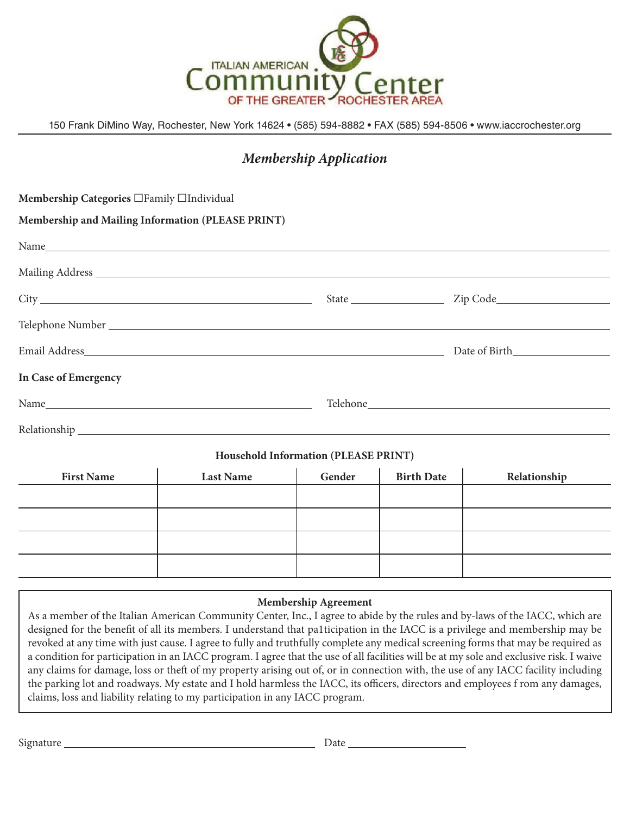

150 Frank DiMino Way, Rochester, New York 14624 • (585) 594-8882 • FAX (585) 594-8506 • www.iaccrochester.org

## *Membership Application*

| Membership Categories □Family □Individual         |                  |                                      |                   |              |
|---------------------------------------------------|------------------|--------------------------------------|-------------------|--------------|
| Membership and Mailing Information (PLEASE PRINT) |                  |                                      |                   |              |
|                                                   |                  |                                      |                   |              |
|                                                   |                  |                                      |                   |              |
|                                                   |                  |                                      |                   |              |
|                                                   |                  |                                      |                   |              |
|                                                   |                  |                                      |                   |              |
| In Case of Emergency                              |                  |                                      |                   |              |
|                                                   |                  |                                      |                   |              |
|                                                   |                  |                                      |                   |              |
|                                                   |                  | Household Information (PLEASE PRINT) |                   |              |
| <b>First Name</b>                                 | <b>Last Name</b> | Gender                               | <b>Birth Date</b> | Relationship |
|                                                   |                  |                                      |                   |              |
|                                                   |                  |                                      |                   |              |
|                                                   |                  |                                      |                   |              |
|                                                   |                  |                                      |                   |              |

## **Membership Agreement**

As a member of the Italian American Community Center, Inc., I agree to abide by the rules and by-laws of the IACC, which are designed for the benefit of all its members. I understand that pa1ticipation in the IACC is a privilege and membership may be revoked at any time with just cause. I agree to fully and truthfully complete any medical screening forms that may be required as a condition for participation in an IACC program. I agree that the use of all facilities will be at my sole and exclusive risk. I waive any claims for damage, loss or theft of my property arising out of, or in connection with, the use of any IACC facility including the parking lot and roadways. My estate and I hold harmless the IACC, its officers, directors and employees f rom any damages, claims, loss and liability relating to my participation in any IACC program.

Signature Date Discourse Date Date Discounts and Date Discounts and Date Discounts and Discounts and Discounts and Discounts are Discounts and Discounts and Discounts are Discounts and Discounts are Discounts and Discounts